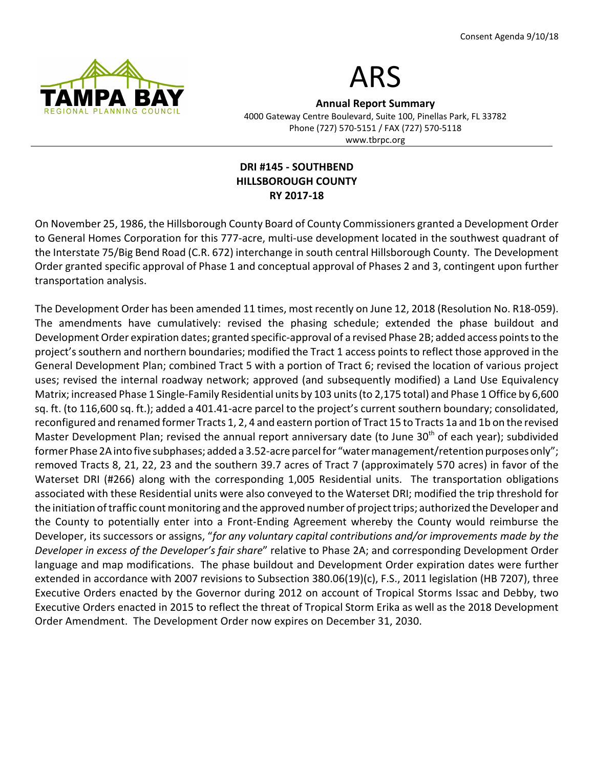



Annual Report Summary 4000 Gateway Centre Boulevard, Suite 100, Pinellas Park, FL 33782 Phone (727) 570-5151 / FAX (727) 570-5118 www.tbrpc.org

## DRI #145 - SOUTHBEND HILLSBOROUGH COUNTY RY 2017-18

On November 25, 1986, the Hillsborough County Board of County Commissioners granted a Development Order to General Homes Corporation for this 777-acre, multi-use development located in the southwest quadrant of the Interstate 75/Big Bend Road (C.R. 672) interchange in south central Hillsborough County. The Development Order granted specific approval of Phase 1 and conceptual approval of Phases 2 and 3, contingent upon further transportation analysis.

The Development Order has been amended 11 times, most recently on June 12, 2018 (Resolution No. R18-059). The amendments have cumulatively: revised the phasing schedule; extended the phase buildout and Development Order expiration dates; granted specific-approval of a revised Phase 2B; added access points to the project's southern and northern boundaries; modified the Tract 1 access points to reflect those approved in the General Development Plan; combined Tract 5 with a portion of Tract 6; revised the location of various project uses; revised the internal roadway network; approved (and subsequently modified) a Land Use Equivalency Matrix; increased Phase 1 Single-Family Residential units by 103 units (to 2,175 total) and Phase 1 Office by 6,600 sq. ft. (to 116,600 sq. ft.); added a 401.41-acre parcel to the project's current southern boundary; consolidated, reconfigured and renamed former Tracts 1, 2, 4 and eastern portion of Tract 15 to Tracts 1a and 1b on the revised Master Development Plan; revised the annual report anniversary date (to June 30<sup>th</sup> of each year); subdivided former Phase 2A into five subphases; added a 3.52-acre parcel for "water management/retention purposes only"; removed Tracts 8, 21, 22, 23 and the southern 39.7 acres of Tract 7 (approximately 570 acres) in favor of the Waterset DRI (#266) along with the corresponding 1,005 Residential units. The transportation obligations associated with these Residential units were also conveyed to the Waterset DRI; modified the trip threshold for the initiation of traffic count monitoring and the approved number of project trips; authorized the Developer and the County to potentially enter into a Front-Ending Agreement whereby the County would reimburse the Developer, its successors or assigns, "for any voluntary capital contributions and/or improvements made by the Developer in excess of the Developer's fair share" relative to Phase 2A; and corresponding Development Order language and map modifications. The phase buildout and Development Order expiration dates were further extended in accordance with 2007 revisions to Subsection 380.06(19)(c), F.S., 2011 legislation (HB 7207), three Executive Orders enacted by the Governor during 2012 on account of Tropical Storms Issac and Debby, two Executive Orders enacted in 2015 to reflect the threat of Tropical Storm Erika as well as the 2018 Development Order Amendment. The Development Order now expires on December 31, 2030.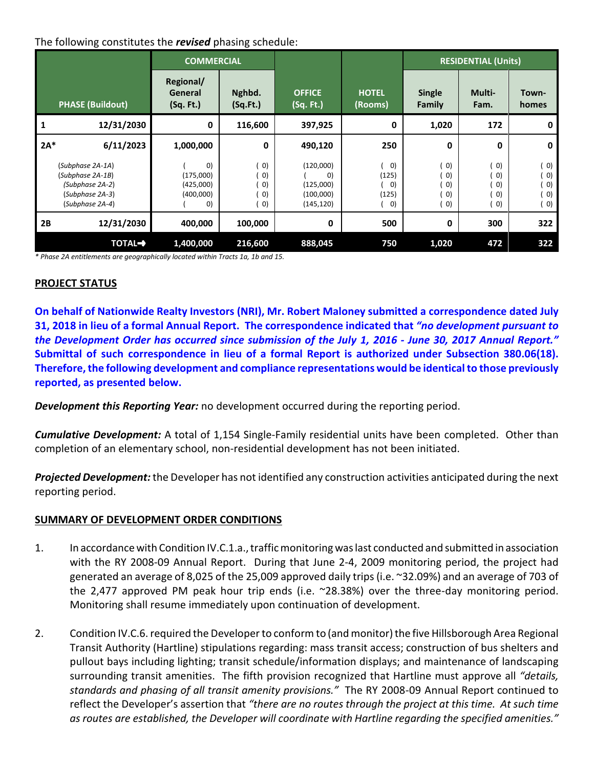# The following constitutes the revised phasing schedule:

| <b>PHASE (Buildout)</b>                                                                       |                | <b>COMMERCIAL</b>                                                             |                                                                                                 |                                                         |                                                                               | <b>RESIDENTIAL (Units)</b>                                                                |                                                                                  |                                                                             |
|-----------------------------------------------------------------------------------------------|----------------|-------------------------------------------------------------------------------|-------------------------------------------------------------------------------------------------|---------------------------------------------------------|-------------------------------------------------------------------------------|-------------------------------------------------------------------------------------------|----------------------------------------------------------------------------------|-----------------------------------------------------------------------------|
|                                                                                               |                | Regional/<br>General<br>(Sq. Ft.)                                             | Nghbd.<br>(Sq.Ft.)                                                                              | <b>OFFICE</b><br>(Sq. Ft.)                              | <b>HOTEL</b><br>(Rooms)                                                       | <b>Single</b><br>Family                                                                   | Multi-<br>Fam.                                                                   | Town-<br>homes                                                              |
|                                                                                               | 12/31/2030     | 0                                                                             | 116,600                                                                                         | 397,925                                                 | 0                                                                             | 1,020                                                                                     | 172                                                                              | 0                                                                           |
| $2A*$                                                                                         | 6/11/2023      | 1,000,000                                                                     | 0                                                                                               | 490,120                                                 | 250                                                                           | 0                                                                                         | 0                                                                                | 0                                                                           |
| (Subphase 2A-1A)<br>(Subphase 2A-1B)<br>(Subphase 2A-2)<br>(Subphase 2A-3)<br>(Subphase 2A-4) |                | $\vert 0 \rangle$<br>(175,000)<br>(425,000)<br>(400,000)<br>$\left( 0\right)$ | $\vert 0 \rangle$<br>$\vert 0 \rangle$<br>$\vert 0 \rangle$<br>$ 0\rangle$<br>$\vert 0 \rangle$ | (120,000)<br>O)<br>(125,000)<br>(100,000)<br>(145, 120) | $\vert 0 \rangle$<br>(125)<br>$\left( 0\right)$<br>(125)<br>$\vert 0 \rangle$ | $ 0\rangle$<br>$\vert 0 \rangle$<br>$ 0\rangle$<br>$\vert 0 \rangle$<br>$\vert 0 \rangle$ | $\vert 0 \rangle$<br>$ 0\rangle$<br>$\left( 0\right)$<br>0)<br>$\left( 0\right)$ | $\vert$ O)<br>$ 0\rangle$<br>$ 0\rangle$<br>$ 0\rangle$<br>$\vert 0\rangle$ |
| 2B                                                                                            | 12/31/2030     | 400,000                                                                       | 100,000                                                                                         | 0                                                       | 500                                                                           | 0                                                                                         | 300                                                                              | 322                                                                         |
|                                                                                               | <b>TOTAL-+</b> | 1,400,000                                                                     | 216,600                                                                                         | 888,045                                                 | 750                                                                           | 1,020                                                                                     | 472                                                                              | 322                                                                         |

\* Phase 2A entitlements are geographically located within Tracts 1a, 1b and 15.

#### PROJECT STATUS

On behalf of Nationwide Realty Investors (NRI), Mr. Robert Maloney submitted a correspondence dated July 31, 2018 in lieu of a formal Annual Report. The correspondence indicated that "no development pursuant to the Development Order has occurred since submission of the July 1, 2016 - June 30, 2017 Annual Report." Submittal of such correspondence in lieu of a formal Report is authorized under Subsection 380.06(18). Therefore, the following development and compliance representations would be identical to those previously reported, as presented below.

**Development this Reporting Year:** no development occurred during the reporting period.

**Cumulative Development:** A total of 1,154 Single-Family residential units have been completed. Other than completion of an elementary school, non-residential development has not been initiated.

Projected Development: the Developer has not identified any construction activities anticipated during the next reporting period.

#### SUMMARY OF DEVELOPMENT ORDER CONDITIONS

- 1. In accordance with Condition IV.C.1.a., traffic monitoring was last conducted and submitted in association with the RY 2008-09 Annual Report. During that June 2-4, 2009 monitoring period, the project had generated an average of 8,025 of the 25,009 approved daily trips (i.e. ~32.09%) and an average of 703 of the 2,477 approved PM peak hour trip ends (i.e. ~28.38%) over the three-day monitoring period. Monitoring shall resume immediately upon continuation of development.
- 2. Condition IV.C.6. required the Developer to conform to (and monitor) the five Hillsborough Area Regional Transit Authority (Hartline) stipulations regarding: mass transit access; construction of bus shelters and pullout bays including lighting; transit schedule/information displays; and maintenance of landscaping surrounding transit amenities. The fifth provision recognized that Hartline must approve all "details, standards and phasing of all transit amenity provisions." The RY 2008-09 Annual Report continued to reflect the Developer's assertion that "there are no routes through the project at this time. At such time as routes are established, the Developer will coordinate with Hartline regarding the specified amenities."